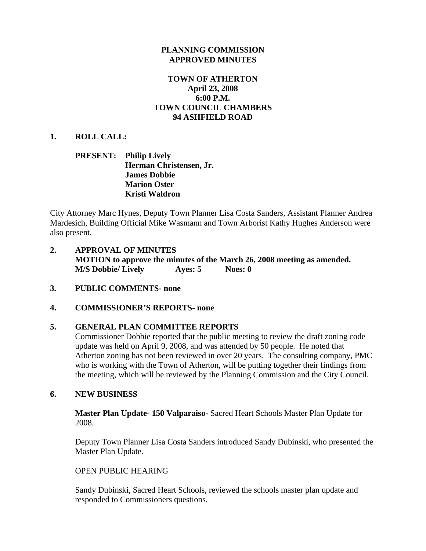### **PLANNING COMMISSION APPROVED MINUTES**

### **TOWN OF ATHERTON April 23, 2008 6:00 P.M. TOWN COUNCIL CHAMBERS 94 ASHFIELD ROAD**

### **1. ROLL CALL:**

### **PRESENT: Philip Lively Herman Christensen, Jr. James Dobbie Marion Oster Kristi Waldron**

City Attorney Marc Hynes, Deputy Town Planner Lisa Costa Sanders, Assistant Planner Andrea Mardesich, Building Official Mike Wasmann and Town Arborist Kathy Hughes Anderson were also present.

- **2. APPROVAL OF MINUTES MOTION to approve the minutes of the March 26, 2008 meeting as amended. M/S Dobbie/ Lively Ayes: 5 Noes: 0**
- **3. PUBLIC COMMENTS- none**

#### **4. COMMISSIONER'S REPORTS- none**

#### **5. GENERAL PLAN COMMITTEE REPORTS**

Commissioner Dobbie reported that the public meeting to review the draft zoning code update was held on April 9, 2008, and was attended by 50 people. He noted that Atherton zoning has not been reviewed in over 20 years. The consulting company, PMC who is working with the Town of Atherton, will be putting together their findings from the meeting, which will be reviewed by the Planning Commission and the City Council.

#### **6. NEW BUSINESS**

**Master Plan Update- 150 Valparaiso-** Sacred Heart Schools Master Plan Update for 2008.

Deputy Town Planner Lisa Costa Sanders introduced Sandy Dubinski, who presented the Master Plan Update.

#### OPEN PUBLIC HEARING

Sandy Dubinski, Sacred Heart Schools, reviewed the schools master plan update and responded to Commissioners questions.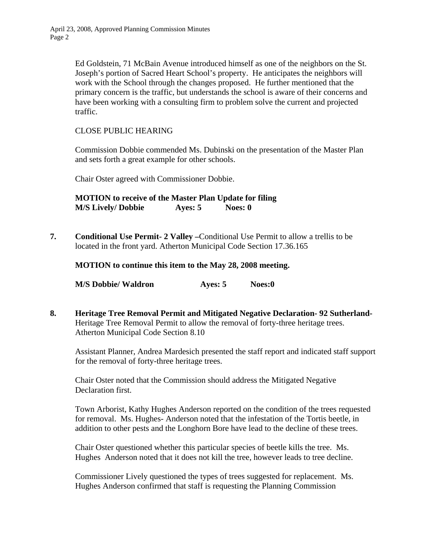Ed Goldstein, 71 McBain Avenue introduced himself as one of the neighbors on the St. Joseph's portion of Sacred Heart School's property. He anticipates the neighbors will work with the School through the changes proposed. He further mentioned that the primary concern is the traffic, but understands the school is aware of their concerns and have been working with a consulting firm to problem solve the current and projected traffic.

### CLOSE PUBLIC HEARING

Commission Dobbie commended Ms. Dubinski on the presentation of the Master Plan and sets forth a great example for other schools.

Chair Oster agreed with Commissioner Dobbie.

**MOTION to receive of the Master Plan Update for filing M/S Lively/ Dobbie Ayes: 5 Noes: 0**

**7. Conditional Use Permit- 2 Valley –**Conditional Use Permit to allow a trellis to be located in the front yard. Atherton Municipal Code Section 17.36.165

**MOTION to continue this item to the May 28, 2008 meeting.** 

**M/S Dobbie/ Waldron Ayes: 5 Noes:0** 

**8. Heritage Tree Removal Permit and Mitigated Negative Declaration- 92 Sutherland-**Heritage Tree Removal Permit to allow the removal of forty-three heritage trees. Atherton Municipal Code Section 8.10

Assistant Planner, Andrea Mardesich presented the staff report and indicated staff support for the removal of forty-three heritage trees.

Chair Oster noted that the Commission should address the Mitigated Negative Declaration first.

Town Arborist, Kathy Hughes Anderson reported on the condition of the trees requested for removal. Ms. Hughes- Anderson noted that the infestation of the Tortis beetle, in addition to other pests and the Longhorn Bore have lead to the decline of these trees.

Chair Oster questioned whether this particular species of beetle kills the tree. Ms. Hughes Anderson noted that it does not kill the tree, however leads to tree decline.

Commissioner Lively questioned the types of trees suggested for replacement. Ms. Hughes Anderson confirmed that staff is requesting the Planning Commission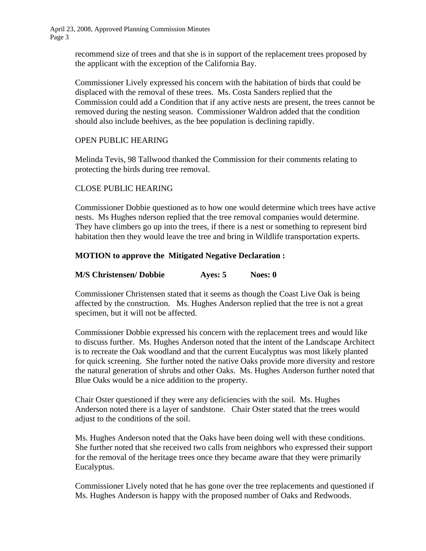> recommend size of trees and that she is in support of the replacement trees proposed by the applicant with the exception of the California Bay.

Commissioner Lively expressed his concern with the habitation of birds that could be displaced with the removal of these trees. Ms. Costa Sanders replied that the Commission could add a Condition that if any active nests are present, the trees cannot be removed during the nesting season. Commissioner Waldron added that the condition should also include beehives, as the bee population is declining rapidly.

### OPEN PUBLIC HEARING

Melinda Tevis, 98 Tallwood thanked the Commission for their comments relating to protecting the birds during tree removal.

# CLOSE PUBLIC HEARING

Commissioner Dobbie questioned as to how one would determine which trees have active nests. Ms Hughes nderson replied that the tree removal companies would determine. They have climbers go up into the trees, if there is a nest or something to represent bird habitation then they would leave the tree and bring in Wildlife transportation experts.

### **MOTION to approve the Mitigated Negative Declaration :**

### **M/S Christensen/ Dobbie Ayes: 5 Noes: 0**

Commissioner Christensen stated that it seems as though the Coast Live Oak is being affected by the construction. Ms. Hughes Anderson replied that the tree is not a great specimen, but it will not be affected.

Commissioner Dobbie expressed his concern with the replacement trees and would like to discuss further. Ms. Hughes Anderson noted that the intent of the Landscape Architect is to recreate the Oak woodland and that the current Eucalyptus was most likely planted for quick screening. She further noted the native Oaks provide more diversity and restore the natural generation of shrubs and other Oaks. Ms. Hughes Anderson further noted that Blue Oaks would be a nice addition to the property.

Chair Oster questioned if they were any deficiencies with the soil. Ms. Hughes Anderson noted there is a layer of sandstone. Chair Oster stated that the trees would adjust to the conditions of the soil.

Ms. Hughes Anderson noted that the Oaks have been doing well with these conditions. She further noted that she received two calls from neighbors who expressed their support for the removal of the heritage trees once they became aware that they were primarily Eucalyptus.

Commissioner Lively noted that he has gone over the tree replacements and questioned if Ms. Hughes Anderson is happy with the proposed number of Oaks and Redwoods.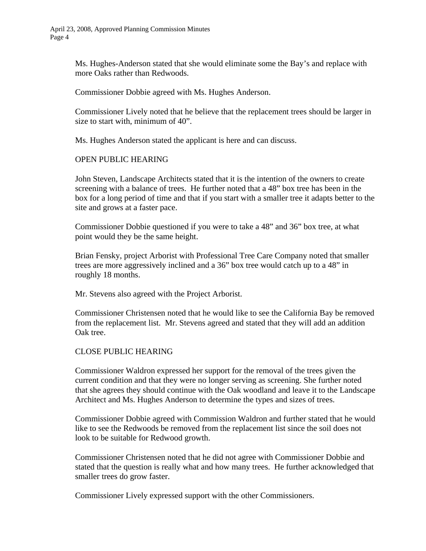Ms. Hughes-Anderson stated that she would eliminate some the Bay's and replace with more Oaks rather than Redwoods.

Commissioner Dobbie agreed with Ms. Hughes Anderson.

Commissioner Lively noted that he believe that the replacement trees should be larger in size to start with, minimum of 40".

Ms. Hughes Anderson stated the applicant is here and can discuss.

#### OPEN PUBLIC HEARING

John Steven, Landscape Architects stated that it is the intention of the owners to create screening with a balance of trees. He further noted that a 48" box tree has been in the box for a long period of time and that if you start with a smaller tree it adapts better to the site and grows at a faster pace.

Commissioner Dobbie questioned if you were to take a 48" and 36" box tree, at what point would they be the same height.

Brian Fensky, project Arborist with Professional Tree Care Company noted that smaller trees are more aggressively inclined and a 36" box tree would catch up to a 48" in roughly 18 months.

Mr. Stevens also agreed with the Project Arborist.

Commissioner Christensen noted that he would like to see the California Bay be removed from the replacement list. Mr. Stevens agreed and stated that they will add an addition Oak tree.

#### CLOSE PUBLIC HEARING

 Commissioner Waldron expressed her support for the removal of the trees given the current condition and that they were no longer serving as screening. She further noted that she agrees they should continue with the Oak woodland and leave it to the Landscape Architect and Ms. Hughes Anderson to determine the types and sizes of trees.

 Commissioner Dobbie agreed with Commission Waldron and further stated that he would like to see the Redwoods be removed from the replacement list since the soil does not look to be suitable for Redwood growth.

 Commissioner Christensen noted that he did not agree with Commissioner Dobbie and stated that the question is really what and how many trees. He further acknowledged that smaller trees do grow faster.

Commissioner Lively expressed support with the other Commissioners.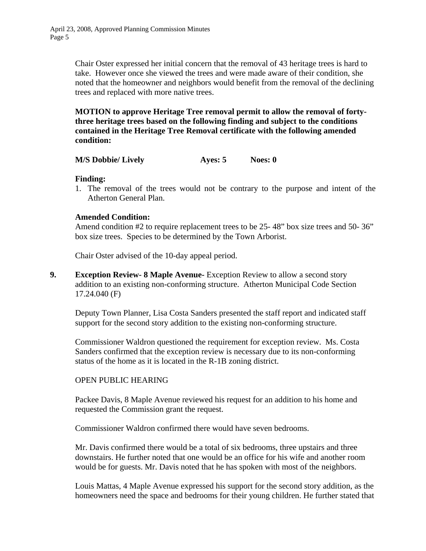Chair Oster expressed her initial concern that the removal of 43 heritage trees is hard to take. However once she viewed the trees and were made aware of their condition, she noted that the homeowner and neighbors would benefit from the removal of the declining trees and replaced with more native trees.

**MOTION to approve Heritage Tree removal permit to allow the removal of fortythree heritage trees based on the following finding and subject to the conditions contained in the Heritage Tree Removal certificate with the following amended condition:**

**M/S Dobbie/ Lively Ayes: 5 Noes: 0** 

**Finding:** 

1. The removal of the trees would not be contrary to the purpose and intent of the Atherton General Plan.

#### **Amended Condition:**

Amend condition #2 to require replacement trees to be 25-48" box size trees and 50-36" box size trees. Species to be determined by the Town Arborist.

Chair Oster advised of the 10-day appeal period.

**9. Exception Review- 8 Maple Avenue-** Exception Review to allow a second story addition to an existing non-conforming structure. Atherton Municipal Code Section 17.24.040 (F)

 Deputy Town Planner, Lisa Costa Sanders presented the staff report and indicated staff support for the second story addition to the existing non-conforming structure.

 Commissioner Waldron questioned the requirement for exception review. Ms. Costa Sanders confirmed that the exception review is necessary due to its non-conforming status of the home as it is located in the R-1B zoning district.

#### OPEN PUBLIC HEARING

 Packee Davis, 8 Maple Avenue reviewed his request for an addition to his home and requested the Commission grant the request.

Commissioner Waldron confirmed there would have seven bedrooms.

 Mr. Davis confirmed there would be a total of six bedrooms, three upstairs and three downstairs. He further noted that one would be an office for his wife and another room would be for guests. Mr. Davis noted that he has spoken with most of the neighbors.

 Louis Mattas, 4 Maple Avenue expressed his support for the second story addition, as the homeowners need the space and bedrooms for their young children. He further stated that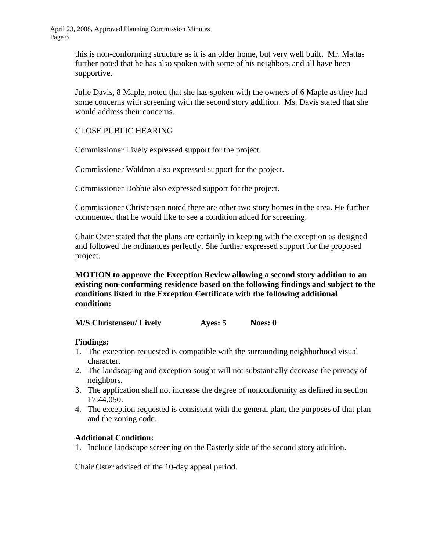> this is non-conforming structure as it is an older home, but very well built. Mr. Mattas further noted that he has also spoken with some of his neighbors and all have been supportive.

 Julie Davis, 8 Maple, noted that she has spoken with the owners of 6 Maple as they had some concerns with screening with the second story addition. Ms. Davis stated that she would address their concerns.

# CLOSE PUBLIC HEARING

Commissioner Lively expressed support for the project.

Commissioner Waldron also expressed support for the project.

Commissioner Dobbie also expressed support for the project.

 Commissioner Christensen noted there are other two story homes in the area. He further commented that he would like to see a condition added for screening.

 Chair Oster stated that the plans are certainly in keeping with the exception as designed and followed the ordinances perfectly. She further expressed support for the proposed project.

**MOTION to approve the Exception Review allowing a second story addition to an existing non-conforming residence based on the following findings and subject to the conditions listed in the Exception Certificate with the following additional condition:** 

| <b>M/S Christensen/ Lively</b> | Ayes: 5 | Noes: 0 |
|--------------------------------|---------|---------|
|--------------------------------|---------|---------|

#### **Findings:**

- 1. The exception requested is compatible with the surrounding neighborhood visual character.
- 2. The landscaping and exception sought will not substantially decrease the privacy of neighbors.
- 3. The application shall not increase the degree of nonconformity as defined in section 17.44.050.
- 4. The exception requested is consistent with the general plan, the purposes of that plan and the zoning code.

#### **Additional Condition:**

1. Include landscape screening on the Easterly side of the second story addition.

Chair Oster advised of the 10-day appeal period.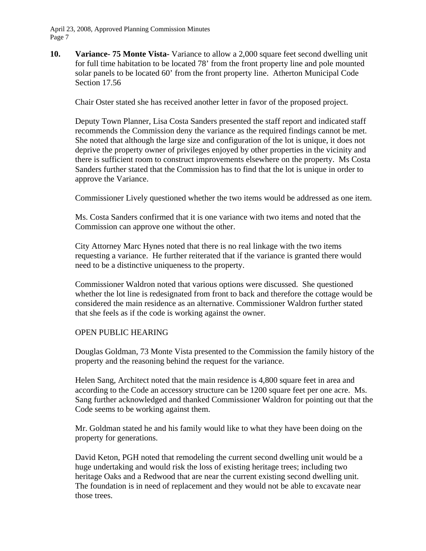**10. Variance- 75 Monte Vista-** Variance to allow a 2,000 square feet second dwelling unit for full time habitation to be located 78' from the front property line and pole mounted solar panels to be located 60' from the front property line. Atherton Municipal Code Section 17.56

Chair Oster stated she has received another letter in favor of the proposed project.

 Deputy Town Planner, Lisa Costa Sanders presented the staff report and indicated staff recommends the Commission deny the variance as the required findings cannot be met. She noted that although the large size and configuration of the lot is unique, it does not deprive the property owner of privileges enjoyed by other properties in the vicinity and there is sufficient room to construct improvements elsewhere on the property. Ms Costa Sanders further stated that the Commission has to find that the lot is unique in order to approve the Variance.

Commissioner Lively questioned whether the two items would be addressed as one item.

 Ms. Costa Sanders confirmed that it is one variance with two items and noted that the Commission can approve one without the other.

 City Attorney Marc Hynes noted that there is no real linkage with the two items requesting a variance. He further reiterated that if the variance is granted there would need to be a distinctive uniqueness to the property.

 Commissioner Waldron noted that various options were discussed. She questioned whether the lot line is redesignated from front to back and therefore the cottage would be considered the main residence as an alternative. Commissioner Waldron further stated that she feels as if the code is working against the owner.

#### OPEN PUBLIC HEARING

 Douglas Goldman, 73 Monte Vista presented to the Commission the family history of the property and the reasoning behind the request for the variance.

 Helen Sang, Architect noted that the main residence is 4,800 square feet in area and according to the Code an accessory structure can be 1200 square feet per one acre. Ms. Sang further acknowledged and thanked Commissioner Waldron for pointing out that the Code seems to be working against them.

 Mr. Goldman stated he and his family would like to what they have been doing on the property for generations.

 David Keton, PGH noted that remodeling the current second dwelling unit would be a huge undertaking and would risk the loss of existing heritage trees; including two heritage Oaks and a Redwood that are near the current existing second dwelling unit. The foundation is in need of replacement and they would not be able to excavate near those trees.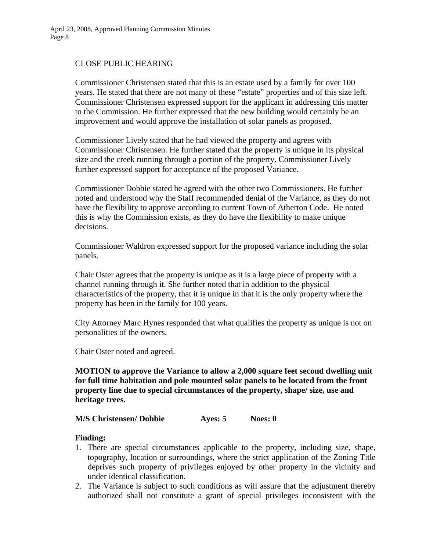### CLOSE PUBLIC HEARING

 Commissioner Christensen stated that this is an estate used by a family for over 100 years. He stated that there are not many of these "estate" properties and of this size left. Commissioner Christensen expressed support for the applicant in addressing this matter to the Commission. He further expressed that the new building would certainly be an improvement and would approve the installation of solar panels as proposed.

 Commissioner Lively stated that he had viewed the property and agrees with Commissioner Christensen. He further stated that the property is unique in its physical size and the creek running through a portion of the property. Commissioner Lively further expressed support for acceptance of the proposed Variance.

 Commissioner Dobbie stated he agreed with the other two Commissioners. He further noted and understood why the Staff recommended denial of the Variance, as they do not have the flexibility to approve according to current Town of Atherton Code. He noted this is why the Commission exists, as they do have the flexibility to make unique decisions.

 Commissioner Waldron expressed support for the proposed variance including the solar panels.

 Chair Oster agrees that the property is unique as it is a large piece of property with a channel running through it. She further noted that in addition to the physical characteristics of the property, that it is unique in that it is the only property where the property has been in the family for 100 years.

 City Attorney Marc Hynes responded that what qualifies the property as unique is not on personalities of the owners.

Chair Oster noted and agreed.

**MOTION to approve the Variance to allow a 2,000 square feet second dwelling unit for full time habitation and pole mounted solar panels to be located from the front property line due to special circumstances of the property, shape/ size, use and heritage trees.** 

 **M/S Christensen/ Dobbie Ayes: 5 Noes: 0** 

#### **Finding:**

- 1. There are special circumstances applicable to the property, including size, shape, topography, location or surroundings, where the strict application of the Zoning Title deprives such property of privileges enjoyed by other property in the vicinity and under identical classification.
- 2. The Variance is subject to such conditions as will assure that the adjustment thereby authorized shall not constitute a grant of special privileges inconsistent with the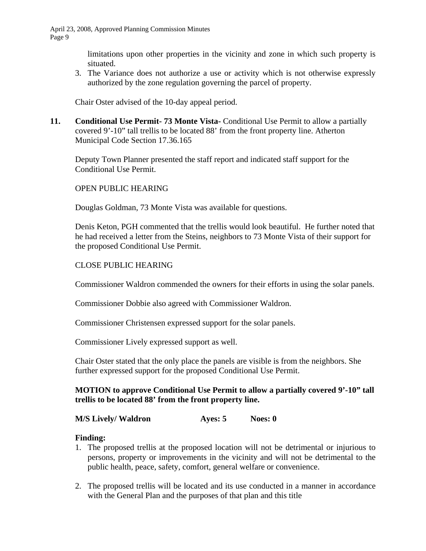limitations upon other properties in the vicinity and zone in which such property is situated.

3. The Variance does not authorize a use or activity which is not otherwise expressly authorized by the zone regulation governing the parcel of property.

Chair Oster advised of the 10-day appeal period.

**11.** Conditional Use Permit-73 Monte Vista- Conditional Use Permit to allow a partially covered 9'-10" tall trellis to be located 88' from the front property line. Atherton Municipal Code Section 17.36.165

 Deputy Town Planner presented the staff report and indicated staff support for the Conditional Use Permit.

# OPEN PUBLIC HEARING

Douglas Goldman, 73 Monte Vista was available for questions.

 Denis Keton, PGH commented that the trellis would look beautiful. He further noted that he had received a letter from the Steins, neighbors to 73 Monte Vista of their support for the proposed Conditional Use Permit.

# CLOSE PUBLIC HEARING

Commissioner Waldron commended the owners for their efforts in using the solar panels.

Commissioner Dobbie also agreed with Commissioner Waldron.

Commissioner Christensen expressed support for the solar panels.

Commissioner Lively expressed support as well.

 Chair Oster stated that the only place the panels are visible is from the neighbors. She further expressed support for the proposed Conditional Use Permit.

# **MOTION to approve Conditional Use Permit to allow a partially covered 9'-10" tall trellis to be located 88' from the front property line.**

# **M/S Lively/ Waldron Ayes: 5** Noes: 0

# **Finding:**

- 1. The proposed trellis at the proposed location will not be detrimental or injurious to persons, property or improvements in the vicinity and will not be detrimental to the public health, peace, safety, comfort, general welfare or convenience.
- 2. The proposed trellis will be located and its use conducted in a manner in accordance with the General Plan and the purposes of that plan and this title